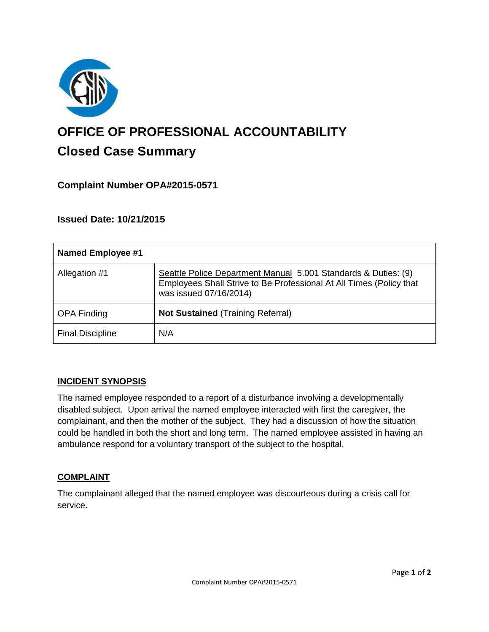

# **OFFICE OF PROFESSIONAL ACCOUNTABILITY Closed Case Summary**

# **Complaint Number OPA#2015-0571**

## **Issued Date: 10/21/2015**

| <b>Named Employee #1</b> |                                                                                                                                                                 |
|--------------------------|-----------------------------------------------------------------------------------------------------------------------------------------------------------------|
| Allegation #1            | Seattle Police Department Manual 5.001 Standards & Duties: (9)<br>Employees Shall Strive to Be Professional At All Times (Policy that<br>was issued 07/16/2014) |
| <b>OPA Finding</b>       | <b>Not Sustained (Training Referral)</b>                                                                                                                        |
| <b>Final Discipline</b>  | N/A                                                                                                                                                             |

#### **INCIDENT SYNOPSIS**

The named employee responded to a report of a disturbance involving a developmentally disabled subject. Upon arrival the named employee interacted with first the caregiver, the complainant, and then the mother of the subject. They had a discussion of how the situation could be handled in both the short and long term. The named employee assisted in having an ambulance respond for a voluntary transport of the subject to the hospital.

## **COMPLAINT**

The complainant alleged that the named employee was discourteous during a crisis call for service.